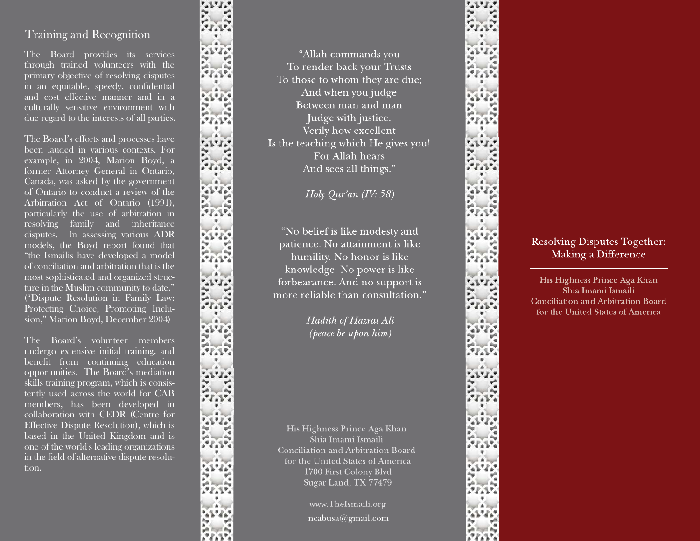# Training and Recognition

The Board provides its services through trained volunteers with the primary objective of resolving disputes in an equitable, speedy, confidential and cost effective manner and in a culturally sensitive environment with due regard to the interests of all parties.

The Board's efforts and processes have been lauded in various contexts. For example, in 2004, Marion Boyd, a former Attorney General in Ontario, Canada, was asked by the government of Ontario to conduct a review of the Arbitration Act of Ontario (1991), particularly the use of arbitration in resolving family and inheritance disputes. In assessing various ADR models, the Boyd report found that "the Ismailis have developed a model of conciliation and arbitration that is the most sophisticated and organized structure in the Muslim community to date." ("Dispute Resolution in Family Law: Protecting Choice, Promoting Inclusion," Marion Boyd, December 2004)

The Board's volunteer members undergo extensive initial training, and benefit from continuing education opportunities. The Board's mediation skills training program, which is consistently used across the world for CAB members, has been developed in collaboration with CEDR (Centre for Effective Dispute Resolution), which is based in the United Kingdom and is one of the world's leading organizations in the field of alternative dispute resolution.

"Allah commands you To render back your Trusts To those to whom they are due; And when you judge Between man and man Judge with justice. Verily how excellent Is the teaching which He gives you! For Allah hears And sees all things."

Holy Qur'an  $(IV: 58)$ 

"No belief is like modesty and patience. No attainment is like humility. No honor is like knowledge. No power is like forbearance. And no support is more reliable than consultation."

> Hadith of Hazrat Ali (peace be upon him)

His Highness Prince Aga Khan Shia Imami Ismaili Conciliation and Arbitration Board for the United States of America 1700 First Colony Blvd Sugar Land, TX 77479

> www.TheIsmaili.org ncabusa@gmail.com



## **Resolving Disputes Together:** Making a Difference

His Highness Prince Aga Khan Shia Imami Ismaili **Conciliation and Arbitration Board** for the United States of America